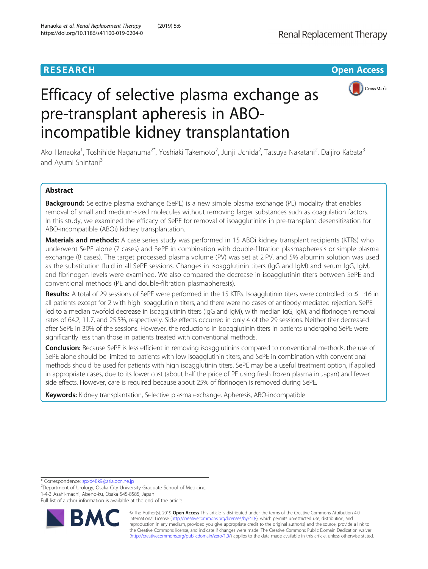## **RESEARCH CHEAR CHEAR CHEAR CHEAR CHEAR CHEAR CHEAR CHEAR CHEAR CHEAR CHEAR CHEAR CHEAR CHEAR CHEAR CHEAR CHEAR**



# Efficacy of selective plasma exchange as pre-transplant apheresis in ABOincompatible kidney transplantation

Ako Hanaoka<sup>1</sup>, Toshihide Naganuma<sup>2\*</sup>, Yoshiaki Takemoto<sup>2</sup>, Junji Uchida<sup>2</sup>, Tatsuya Nakatani<sup>2</sup>, Daijiro Kabata<sup>3</sup> and Ayumi Shintani<sup>3</sup>

## Abstract

**Background:** Selective plasma exchange (SePE) is a new simple plasma exchange (PE) modality that enables removal of small and medium-sized molecules without removing larger substances such as coagulation factors. In this study, we examined the efficacy of SePE for removal of isoagglutinins in pre-transplant desensitization for ABO-incompatible (ABOi) kidney transplantation.

**Materials and methods:** A case series study was performed in 15 ABOi kidney transplant recipients (KTRs) who underwent SePE alone (7 cases) and SePE in combination with double-filtration plasmapheresis or simple plasma exchange (8 cases). The target processed plasma volume (PV) was set at 2 PV, and 5% albumin solution was used as the substitution fluid in all SePE sessions. Changes in isoagglutinin titers (IgG and IgM) and serum IgG, IgM, and fibrinogen levels were examined. We also compared the decrease in isoagglutinin titers between SePE and conventional methods (PE and double-filtration plasmapheresis).

Results: A total of 29 sessions of SePE were performed in the 15 KTRs. Isoagglutinin titers were controlled to ≤ 1:16 in all patients except for 2 with high isoagglutinin titers, and there were no cases of antibody-mediated rejection. SePE led to a median twofold decrease in isoagglutinin titers (IgG and IgM), with median IgG, IgM, and fibrinogen removal rates of 64.2, 11.7, and 25.5%, respectively. Side effects occurred in only 4 of the 29 sessions. Neither titer decreased after SePE in 30% of the sessions. However, the reductions in isoagglutinin titers in patients undergoing SePE were significantly less than those in patients treated with conventional methods.

**Conclusion:** Because SePE is less efficient in removing isoagglutinins compared to conventional methods, the use of SePE alone should be limited to patients with low isoagglutinin titers, and SePE in combination with conventional methods should be used for patients with high isoagglutinin titers. SePE may be a useful treatment option, if applied in appropriate cases, due to its lower cost (about half the price of PE using fresh frozen plasma in Japan) and fewer side effects. However, care is required because about 25% of fibrinogen is removed during SePE.

Keywords: Kidney transplantation, Selective plasma exchange, Apheresis, ABO-incompatible

\* Correspondence: [spxd48k9@aria.ocn.ne.jp](mailto:spxd48k9@aria.ocn.ne.jp) <sup>2</sup>

 $2$ Department of Urology, Osaka City University Graduate School of Medicine, 1-4-3 Asahi-machi, Abeno-ku, Osaka 545-8585, Japan

Full list of author information is available at the end of the article



© The Author(s). 2019 Open Access This article is distributed under the terms of the Creative Commons Attribution 4.0 International License [\(http://creativecommons.org/licenses/by/4.0/](http://creativecommons.org/licenses/by/4.0/)), which permits unrestricted use, distribution, and reproduction in any medium, provided you give appropriate credit to the original author(s) and the source, provide a link to the Creative Commons license, and indicate if changes were made. The Creative Commons Public Domain Dedication waiver [\(http://creativecommons.org/publicdomain/zero/1.0/](http://creativecommons.org/publicdomain/zero/1.0/)) applies to the data made available in this article, unless otherwise stated.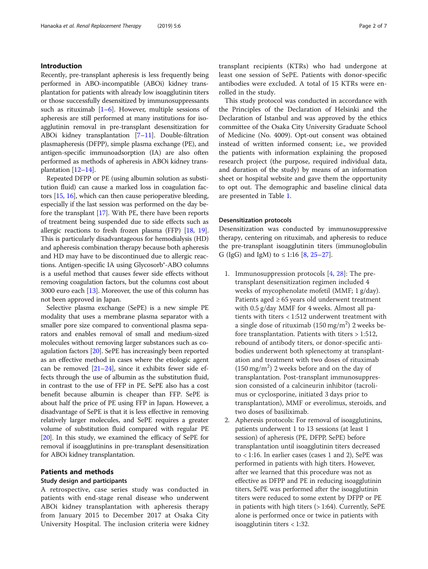## Introduction

Recently, pre-transplant apheresis is less frequently being performed in ABO-incompatible (ABOi) kidney transplantation for patients with already low isoagglutinin titers or those successfully desensitized by immunosuppressants such as rituximab  $[1-6]$  $[1-6]$  $[1-6]$  $[1-6]$ . However, multiple sessions of apheresis are still performed at many institutions for isoagglutinin removal in pre-transplant desensitization for ABOi kidney transplantation [[7](#page-5-0)–[11](#page-5-0)]. Double-filtration plasmapheresis (DFPP), simple plasma exchange (PE), and antigen-specific immunoadsorption (IA) are also often performed as methods of apheresis in ABOi kidney transplantation [[12](#page-5-0)–[14](#page-5-0)].

Repeated DFPP or PE (using albumin solution as substitution fluid) can cause a marked loss in coagulation factors [\[15,](#page-5-0) [16](#page-5-0)], which can then cause perioperative bleeding, especially if the last session was performed on the day before the transplant [[17](#page-6-0)]. With PE, there have been reports of treatment being suspended due to side effects such as allergic reactions to fresh frozen plasma (FFP) [\[18,](#page-6-0) [19](#page-6-0)]. This is particularly disadvantageous for hemodialysis (HD) and apheresis combination therapy because both apheresis and HD may have to be discontinued due to allergic reactions. Antigen-specific IA using Glycosorb®-ABO columns is a useful method that causes fewer side effects without removing coagulation factors, but the columns cost about 3000 euro each [[13](#page-5-0)]. Moreover, the use of this column has not been approved in Japan.

Selective plasma exchange (SePE) is a new simple PE modality that uses a membrane plasma separator with a smaller pore size compared to conventional plasma separators and enables removal of small and medium-sized molecules without removing larger substances such as coagulation factors [[20](#page-6-0)]. SePE has increasingly been reported as an effective method in cases where the etiologic agent can be removed [\[21](#page-6-0)–[24\]](#page-6-0), since it exhibits fewer side effects through the use of albumin as the substitution fluid, in contrast to the use of FFP in PE. SePE also has a cost benefit because albumin is cheaper than FFP. SePE is about half the price of PE using FFP in Japan. However, a disadvantage of SePE is that it is less effective in removing relatively larger molecules, and SePE requires a greater volume of substitution fluid compared with regular PE [[20](#page-6-0)]. In this study, we examined the efficacy of SePE for removal if isoagglutinins in pre-transplant desensitization for ABOi kidney transplantation.

## Patients and methods

## Study design and participants

A retrospective, case series study was conducted in patients with end-stage renal disease who underwent ABOi kidney transplantation with apheresis therapy from January 2015 to December 2017 at Osaka City University Hospital. The inclusion criteria were kidney transplant recipients (KTRs) who had undergone at least one session of SePE. Patients with donor-specific antibodies were excluded. A total of 15 KTRs were enrolled in the study.

This study protocol was conducted in accordance with the Principles of the Declaration of Helsinki and the Declaration of Istanbul and was approved by the ethics committee of the Osaka City University Graduate School of Medicine (No. 4009). Opt-out consent was obtained instead of written informed consent; i.e., we provided the patients with information explaining the proposed research project (the purpose, required individual data, and duration of the study) by means of an information sheet or hospital website and gave them the opportunity to opt out. The demographic and baseline clinical data are presented in Table [1.](#page-2-0)

#### Desensitization protocols

Desensitization was conducted by immunosuppressive therapy, centering on rituximab, and apheresis to reduce the pre-transplant isoagglutinin titers (immunoglobulin G (IgG) and IgM) to  $\leq$  1:16 [\[8](#page-5-0), [25](#page-6-0)–[27\]](#page-6-0).

- 1. Immunosuppression protocols [\[4](#page-5-0), [28](#page-6-0)]: The pretransplant desensitization regimen included 4 weeks of mycophenolate mofetil (MMF; 1 g/day). Patients aged  $\geq 65$  years old underwent treatment with 0.5 g/day MMF for 4 weeks. Almost all patients with titers < 1:512 underwent treatment with a single dose of rituximab  $(150 \text{ mg/m}^2)$  2 weeks before transplantation. Patients with titers > 1:512, rebound of antibody titers, or donor-specific antibodies underwent both splenectomy at transplantation and treatment with two doses of rituximab  $(150 \text{ mg/m}^2)$  2 weeks before and on the day of transplantation. Post-transplant immunosuppression consisted of a calcineurin inhibitor (tacrolimus or cyclosporine, initiated 3 days prior to transplantation), MMF or everolimus, steroids, and two doses of basiliximab.
- 2. Apheresis protocols: For removal of isoagglutinins, patients underwent 1 to 13 sessions (at least 1 session) of apheresis (PE, DFPP, SePE) before transplantation until isoagglutinin titers decreased to  $<$  1:16. In earlier cases (cases 1 and 2), SePE was performed in patients with high titers. However, after we learned that this procedure was not as effective as DFPP and PE in reducing isoagglutinin titers, SePE was performed after the isoagglutinin titers were reduced to some extent by DFPP or PE in patients with high titers (> 1:64). Currently, SePE alone is performed once or twice in patients with isoagglutinin titers < 1:32.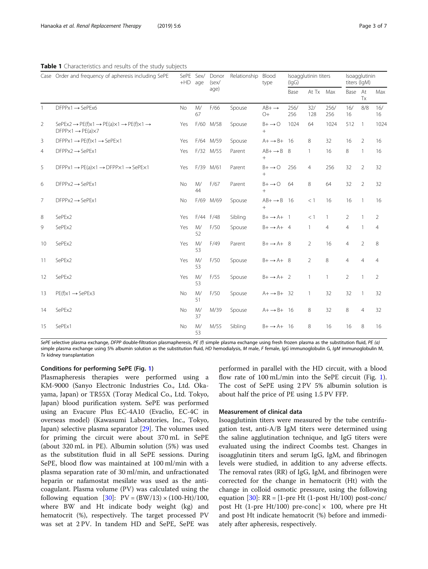## <span id="page-2-0"></span>Table 1 Characteristics and results of the study subjects

|                | Case Order and frequency of apheresis including SePE                                                                                            | +HD age   | SePE Sex/                     | Donor<br>(sex/<br>age) | Relationship | Blood<br>type                    | Isoagglutinin titers<br>(lgG) |                |              | Isoagglutinin<br>titers (IgM) |                |                |
|----------------|-------------------------------------------------------------------------------------------------------------------------------------------------|-----------|-------------------------------|------------------------|--------------|----------------------------------|-------------------------------|----------------|--------------|-------------------------------|----------------|----------------|
|                |                                                                                                                                                 |           |                               |                        |              |                                  | Base                          | At Tx Max      |              | Base At                       | Tx             | Max            |
| $\mathbf{1}$   | $DFPPx1 \rightarrow SePEx6$                                                                                                                     | <b>No</b> | M/<br>67                      | F/66                   | Spouse       | $AB+ \rightarrow$<br>$O+$        | 256/<br>256                   | 32/<br>128     | 256/<br>256  | 16/<br>16                     | 8/8            | 16/<br>16      |
| 2              | SePEx2 $\rightarrow$ PE(f)x1 $\rightarrow$ PE(a) $\times$ 1 $\rightarrow$ PE(f) $\times$ 1 $\rightarrow$<br>$DFPPX1 \rightarrow PE(a) \times 7$ | Yes       |                               | F/60 M/58              | Spouse       | $B + \rightarrow O$<br>$^{+}$    | 1024                          | 64             | 1024         | 512                           | $\overline{1}$ | 1024           |
| 3              | $DFPPx1 \rightarrow PE(f)x1 \rightarrow SePEx1$                                                                                                 | Yes       |                               | F/64 M/59              | Spouse       | $A+ \rightarrow B+ 16$           |                               | 8              | 32           | 16                            | 2              | 16             |
| $\overline{4}$ | $DFPPx2 \rightarrow SePEx1$                                                                                                                     | Yes       |                               | F/32 M/55              | Parent       | $AB+ \rightarrow B$ 8<br>$^{+}$  |                               | $\mathbf{1}$   | 16           | 8                             | $\overline{1}$ | 16             |
| 5              | $DFPPx1 \rightarrow PE(a) \times 1 \rightarrow DFPP \times 1 \rightarrow SePE \times 1$                                                         | Yes       |                               | F/39 M/61              | Parent       | $B + \rightarrow O$<br>$+$       | 256                           | $\overline{4}$ | 256          | 32                            | 2              | 32             |
| 6              | $DFPPx2 \rightarrow SePEx1$                                                                                                                     | No        | M/<br>44                      | F/67                   | Parent       | $B + \rightarrow O$<br>$^{+}$    | 64                            | 8              | 64           | 32                            | 2              | 32             |
| $\overline{7}$ | $DFPPx2 \rightarrow SePEx1$                                                                                                                     | <b>No</b> | F/69                          | M/69                   | Spouse       | $AB+ \rightarrow B$ 16<br>$^{+}$ |                               | $<$ 1          | 16           | 16                            | $\mathbf{1}$   | 16             |
| 8              | SePEx2                                                                                                                                          | Yes       |                               | F/44 F/48              | Sibling      | $B+ \rightarrow A+$ 1            |                               | <1             | $\mathbf{1}$ | $\overline{2}$                | $\mathbf{1}$   | $\mathcal{P}$  |
| 9              | SePEx2                                                                                                                                          | Yes       | $\mathsf{M}/\mathsf{M}$<br>52 | F/50                   | Spouse       | $B+ \rightarrow A+ 4$            |                               | $\mathbf{1}$   | 4            | $\overline{4}$                | 1              | 4              |
| 10             | SePEx2                                                                                                                                          | Yes       | M/<br>53                      | F/49                   | Parent       | $B+ \rightarrow A+8$             |                               | $\overline{2}$ | 16           | $\overline{4}$                | $\overline{2}$ | 8              |
| 11             | SePEx2                                                                                                                                          | Yes       | M/<br>53                      | F/50                   | Spouse       | $B+ \rightarrow A+ 8$            |                               | $\overline{2}$ | 8            | $\overline{4}$                | $\overline{4}$ | $\overline{4}$ |
| 12             | SePEx2                                                                                                                                          | Yes       | M/<br>53                      | F/55                   | Spouse       | $B+ \rightarrow A+2$             |                               | $\mathbf{1}$   | $\mathbf{1}$ | 2                             | $\mathbf{1}$   | $\overline{2}$ |
| 13             | $PE(f)x1 \rightarrow SePEx3$                                                                                                                    | No        | $\mathsf{M}/\mathsf{M}$<br>51 | F/50                   | Spouse       | $A + \rightarrow B + 32$         |                               | $\mathbf{1}$   | 32           | 32                            | $\mathbf{1}$   | 32             |
| 14             | SePEx2                                                                                                                                          | No        | M/<br>37                      | M/39                   | Spouse       | $A+ \rightarrow B+ 16$           |                               | 8              | 32           | $\,8\,$                       | $\overline{4}$ | 32             |
| 15             | SePEx1                                                                                                                                          | No        | M/<br>53                      | M/55                   | Sibling      | $B+ \rightarrow A+ 16$           |                               | 8              | 16           | 16                            | 8              | 16             |

SePE selective plasma exchange, DFPP double-filtration plasmapheresis, PE (f) simple plasma exchange using fresh frozen plasma as the substitution fluid, PE (a) simple plasma exchange using 5% albumin solution as the substitution fluid, HD hemodialysis, M male, F female, IgG immunoglobulin G, IgM immunoglobulin M, Tx kidney transplantation

## Conditions for performing SePE (Fig. [1](#page-3-0))

Plasmapheresis therapies were performed using a KM-9000 (Sanyo Electronic Industries Co., Ltd. Okayama, Japan) or TR55X (Toray Medical Co., Ltd. Tokyo, Japan) blood purification system. SePE was performed using an Evacure Plus EC-4A10 (Evaclio, EC-4C in overseas model) (Kawasumi Laboratories, Inc., Tokyo, Japan) selective plasma separator [[29\]](#page-6-0). The volumes used for priming the circuit were about 370 mL in SePE (about 320 mL in PE). Albumin solution (5%) was used as the substitution fluid in all SePE sessions. During SePE, blood flow was maintained at 100 ml/min with a plasma separation rate of 30 ml/min, and unfractionated heparin or nafamostat mesilate was used as the anticoagulant. Plasma volume (PV) was calculated using the following equation [\[30\]](#page-6-0):  $PV = (BW/13) \times (100-Ht)/100$ , where BW and Ht indicate body weight (kg) and hematocrit (%), respectively. The target processed PV was set at 2 PV. In tandem HD and SePE, SePE was performed in parallel with the HD circuit, with a blood flow rate of [1](#page-3-0)00 mL/min into the SePE circuit (Fig. 1). The cost of SePE using 2 PV 5% albumin solution is about half the price of PE using 1.5 PV FFP.

## Measurement of clinical data

Isoagglutinin titers were measured by the tube centrifugation test, anti-A/B IgM titers were determined using the saline agglutination technique, and IgG titers were evaluated using the indirect Coombs test. Changes in isoagglutinin titers and serum IgG, IgM, and fibrinogen levels were studied, in addition to any adverse effects. The removal rates (RR) of IgG, IgM, and fibrinogen were corrected for the change in hematocrit (Ht) with the change in colloid osmotic pressure, using the following equation  $[30]$  $[30]$ : RR =  $[1$ -pre Ht  $(1$ -post Ht/100) post-conc/ post Ht (1-pre Ht/100) pre-conc]  $\times$  100, where pre Ht and post Ht indicate hematocrit (%) before and immediately after apheresis, respectively.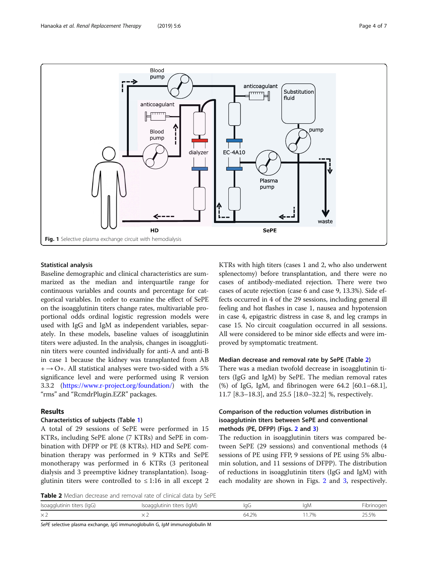<span id="page-3-0"></span>

## Statistical analysis

Baseline demographic and clinical characteristics are summarized as the median and interquartile range for continuous variables and counts and percentage for categorical variables. In order to examine the effect of SePE on the isoagglutinin titers change rates, multivariable proportional odds ordinal logistic regression models were used with IgG and IgM as independent variables, separately. In these models, baseline values of isoagglutinin titers were adjusted. In the analysis, changes in isoagglutinin titers were counted individually for anti-A and anti-B in case 1 because the kidney was transplanted from AB  $+$   $\rightarrow$  O+. All statistical analyses were two-sided with a 5% significance level and were performed using R version 3.3.2 [\(https://www.r-project.org/foundation/\)](https://www.r-project.org/foundation/) with the "rms" and "RcmdrPlugin.EZR" packages.

## Results

## Characteristics of subjects (Table [1\)](#page-2-0)

A total of 29 sessions of SePE were performed in 15 KTRs, including SePE alone (7 KTRs) and SePE in combination with DFPP or PE (8 KTRs). HD and SePE combination therapy was performed in 9 KTRs and SePE monotherapy was performed in 6 KTRs (3 peritoneal dialysis and 3 preemptive kidney transplantation). Isoagglutinin titers were controlled to  $\leq 1:16$  in all except 2

KTRs with high titers (cases 1 and 2, who also underwent splenectomy) before transplantation, and there were no cases of antibody-mediated rejection. There were two cases of acute rejection (case 6 and case 9, 13.3%). Side effects occurred in 4 of the 29 sessions, including general ill feeling and hot flashes in case 1, nausea and hypotension in case 4, epigastric distress in case 8, and leg cramps in case 15. No circuit coagulation occurred in all sessions. All were considered to be minor side effects and were improved by symptomatic treatment.

## Median decrease and removal rate by SePE (Table 2)

There was a median twofold decrease in isoagglutinin titers (IgG and IgM) by SePE. The median removal rates (%) of IgG, IgM, and fibrinogen were 64.2 [60.1–68.1], 11.7 [8.3–18.3], and 25.5 [18.0–32.2] %, respectively.

## Comparison of the reduction volumes distribution in isoagglutinin titers between SePE and conventional methods (PE, DFPP) (Figs. [2](#page-4-0) and [3](#page-4-0))

The reduction in isoagglutinin titers was compared between SePE (29 sessions) and conventional methods (4 sessions of PE using FFP, 9 sessions of PE using 5% albumin solution, and 11 sessions of DFPP). The distribution of reductions in isoagglutinin titers (IgG and IgM) with each modality are shown in Figs. [2](#page-4-0) and [3,](#page-4-0) respectively.

Table 2 Median decrease and removal rate of clinical data by SePE

| <b>TWAIL &amp;</b> INICORD DECIDED ON A TEMPORAL RACE OF CHINEDI GOLD DY SCI E |                            |       |      |            |  |  |  |  |
|--------------------------------------------------------------------------------|----------------------------|-------|------|------------|--|--|--|--|
| Isoagglutinin titers (IgG)                                                     | Isoagglutinin titers (IgM) | lgG   | laM  | Fibrinogen |  |  |  |  |
| $\times 2$                                                                     |                            | 64.2% | 1.7% | 25.5%      |  |  |  |  |

SePE selective plasma exchange, IgG immunoglobulin G, IgM immunoglobulin M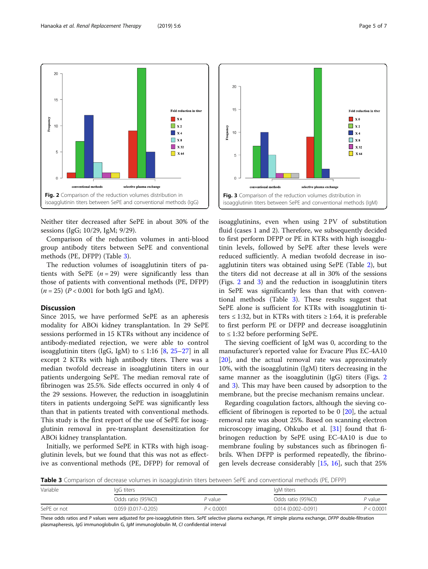Neither titer decreased after SePE in about 30% of the sessions (IgG; 10/29, IgM; 9/29).

Comparison of the reduction volumes in anti-blood group antibody titers between SePE and conventional methods (PE, DFPP) (Table 3).

The reduction volumes of isoagglutinin titers of patients with SePE  $(n = 29)$  were significantly less than those of patients with conventional methods (PE, DFPP)  $(n = 25)$   $(P < 0.001$  for both IgG and IgM).

## **Discussion**

Since 2015, we have performed SePE as an apheresis modality for ABOi kidney transplantation. In 29 SePE sessions performed in 15 KTRs without any incidence of antibody-mediated rejection, we were able to control isoagglutinin titers (IgG, IgM) to  $\leq$  1:16 [[8,](#page-5-0) [25](#page-6-0)–[27](#page-6-0)] in all except 2 KTRs with high antibody titers. There was a median twofold decrease in isoagglutinin titers in our patients undergoing SePE. The median removal rate of fibrinogen was 25.5%. Side effects occurred in only 4 of the 29 sessions. However, the reduction in isoagglutinin titers in patients undergoing SePE was significantly less than that in patients treated with conventional methods. This study is the first report of the use of SePE for isoagglutinin removal in pre-transplant desensitization for ABOi kidney transplantation.

Initially, we performed SePE in KTRs with high isoagglutinin levels, but we found that this was not as effective as conventional methods (PE, DFPP) for removal of isoagglutinins, even when using 2 PV of substitution fluid (cases 1 and 2). Therefore, we subsequently decided to first perform DFPP or PE in KTRs with high isoagglutinin levels, followed by SePE after these levels were reduced sufficiently. A median twofold decrease in isoagglutinin titers was obtained using SePE (Table [2\)](#page-3-0), but the titers did not decrease at all in 30% of the sessions (Figs. 2 and 3) and the reduction in isoagglutinin titers in SePE was significantly less than that with conventional methods (Table 3). These results suggest that SePE alone is sufficient for KTRs with isoagglutinin titers  $\leq$  1:32, but in KTRs with titers  $\geq$  1:64, it is preferable to first perform PE or DFPP and decrease isoagglutinin to ≤ 1:32 before performing SePE.

Fig. 3 Comparison of the reduction volumes distribution in isoagglutinin titers between SePE and conventional methods (IgM)

selective plasma exchange

conventional methods

The sieving coefficient of IgM was 0, according to the manufacturer's reported value for Evacure Plus EC-4A10 [[20\]](#page-6-0), and the actual removal rate was approximately 10%, with the isoagglutinin (IgM) titers decreasing in the same manner as the isoagglutinin (IgG) titers (Figs. 2 and 3). This may have been caused by adsorption to the membrane, but the precise mechanism remains unclear.

Regarding coagulation factors, although the sieving coefficient of fibrinogen is reported to be  $0$  [[20\]](#page-6-0), the actual removal rate was about 25%. Based on scanning electron microscopy imaging, Ohkubo et al. [[31\]](#page-6-0) found that fibrinogen reduction by SePE using EC-4A10 is due to membrane fouling by substances such as fibrinogen fibrils. When DFPP is performed repeatedly, the fibrinogen levels decrease considerably [\[15](#page-5-0), [16\]](#page-5-0), such that 25%

Table 3 Comparison of decrease volumes in isoagglutinin titers between SePE and conventional methods (PE, DFPP)

| Variable    | lgG titers             |            | IgM titers             |            |  |  |
|-------------|------------------------|------------|------------------------|------------|--|--|
|             | Odds ratio (95%CI)     | P value    | Odds ratio (95%CI)     | P value    |  |  |
| SePE or not | $0.059(0.017 - 0.205)$ | P < 0.0001 | $0.014(0.002 - 0.091)$ | P < 0.0001 |  |  |

These odds ratios and P values were adjusted for pre-isoagglutinin titers. SePE selective plasma exchange, PE simple plasma exchange, DFPP double-filtration plasmapheresis, IgG immunoglobulin G, IgM immunoglobulin M, CI confidential interval

<span id="page-4-0"></span>



 $\overline{5}$ 

 $\Omega$ 

 $\Box$  x 32

 $\blacksquare$  X 64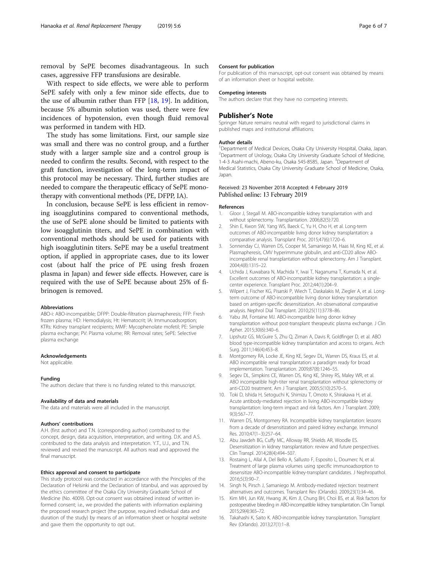<span id="page-5-0"></span>removal by SePE becomes disadvantageous. In such cases, aggressive FFP transfusions are desirable.

With respect to side effects, we were able to perform SePE safely with only a few minor side effects, due to the use of albumin rather than FFP [\[18](#page-6-0), [19](#page-6-0)]. In addition, because 5% albumin solution was used, there were few incidences of hypotension, even though fluid removal was performed in tandem with HD.

The study has some limitations. First, our sample size was small and there was no control group, and a further study with a larger sample size and a control group is needed to confirm the results. Second, with respect to the graft function, investigation of the long-term impact of this protocol may be necessary. Third, further studies are needed to compare the therapeutic efficacy of SePE monotherapy with conventional methods (PE, DFPP, IA).

In conclusion, because SePE is less efficient in removing isoagglutinins compared to conventional methods, the use of SePE alone should be limited to patients with low isoagglutinin titers, and SePE in combination with conventional methods should be used for patients with high isoagglutinin titers. SePE may be a useful treatment option, if applied in appropriate cases, due to its lower cost (about half the price of PE using fresh frozen plasma in Japan) and fewer side effects. However, care is required with the use of SePE because about 25% of fibrinogen is removed.

#### Abbreviations

ABO-i: ABO-incompatible; DFPP: Double-filtration plasmapheresis; FFP: Fresh frozen plasma; HD: Hemodialysis; Ht: Hematocrit; IA: Immunoadsorption; KTRs: Kidney transplant recipients; MMF: Mycophenolate mofetil; PE: Simple plasma exchange; PV: Plasma volume; RR: Removal rates; SePE: Selective plasma exchange

#### Acknowledgements

Not applicable.

#### Funding

The authors declare that there is no funding related to this manuscript.

#### Availability of data and materials

The data and materials were all included in the manuscript.

#### Authors' contributions

A.H. (first author) and T.N. (corresponding author) contributed to the concept, design, data acquisition, interpretation, and writing. D.K. and A.S. contributed to the data analysis and interpretation. Y.T., U.J., and T.N. reviewed and revised the manuscript. All authors read and approved the final manuscript.

#### Ethics approval and consent to participate

This study protocol was conducted in accordance with the Principles of the Declaration of Helsinki and the Declaration of Istanbul, and was approved by the ethics committee of the Osaka City University Graduate School of Medicine (No. 4009). Opt-out consent was obtained instead of written informed consent; i.e., we provided the patients with information explaining the proposed research project (the purpose, required individual data and duration of the study) by means of an information sheet or hospital website and gave them the opportunity to opt out.

#### Consent for publication

For publication of this manuscript, opt-out consent was obtained by means of an information sheet or hospital website.

### Competing interests

The authors declare that they have no competing interests.

#### Publisher's Note

Springer Nature remains neutral with regard to jurisdictional claims in published maps and institutional affiliations.

#### Author details

<sup>1</sup> Department of Medical Devices, Osaka City University Hospital, Osaka, Japan <sup>2</sup> Department of Urology, Osaka City University Graduate School of Medicine 1-4-3 Asahi-machi, Abeno-ku, Osaka 545-8585, Japan. <sup>3</sup> Department of Medical Statistics, Osaka City University Graduate School of Medicine, Osaka, Japan.

## Received: 23 November 2018 Accepted: 4 February 2019 Published online: 13 February 2019

#### References

- 1. Gloor J, Stegall M. ABO-incompatible kidney transplantation with and without splenectomy. Transplantation. 2006;82(5):720.
- 2. Shin E, Kwon SW, Yang WS, Baeck C, Yu H, Cho H, et al. Long-term outcomes of ABO-incompatible living donor kidney transplantation: a comparative analysis. Transplant Proc. 2015;47(6):1720–6.
- 3. Sonnenday CJ, Warren DS, Cooper M, Samaniego M, Haas M, King KE, et al. Plasmapheresis, CMV hyperimmune globulin, and anti-CD20 allow ABOincompatible renal transplantation without splenectomy. Am J Transplant. 2004;4(8):1315–22.
- 4. Uchida J, Kuwabara N, Machida Y, Iwai T, Naganuma T, Kumada N, et al. Excellent outcomes of ABO-incompatible kidney transplantation: a singlecenter experience. Transplant Proc. 2012;44(1):204–9.
- 5. Wilpert J, Fischer KG, Pisarski P, Wiech T, Daskalakis M, Ziegler A, et al. Longterm outcome of ABO-incompatible living donor kidney transplantation based on antigen-specific desensitization. An observational comparative analysis. Nephrol Dial Transplant. 2010;25(11):3778–86.
- 6. Yabu JM, Fontaine MJ. ABO-incompatible living donor kidney transplantation without post-transplant therapeutic plasma exchange. J Clin Apher. 2015;30(6):340–6.
- 7. Lipshutz GS, McGuire S, Zhu Q, Ziman A, Davis R, Goldfinger D, et al. ABO blood type-incompatible kidney transplantation and access to organs. Arch Surg. 2011;146(4):453–8.
- 8. Montgomery RA, Locke JE, King KE, Segev DL, Warren DS, Kraus ES, et al. ABO incompatible renal transplantation: a paradigm ready for broad implementation. Transplantation. 2009;87(8):1246–55.
- Segev DL, Simpkins CE, Warren DS, King KE, Shirey RS, Maley WR, et al. ABO incompatible high-titer renal transplantation without splenectomy or anti-CD20 treatment. Am J Transplant. 2005;5(10):2570–5.
- 10. Toki D, Ishida H, Setoguchi K, Shimizu T, Omoto K, Shirakawa H, et al. Acute antibody-mediated rejection in living ABO-incompatible kidney transplantation: long-term impact and risk factors. Am J Transplant. 2009; 9(3):567–77.
- 11. Warren DS, Montgomery RA. Incompatible kidney transplantation: lessons from a decade of desensitization and paired kidney exchange. Immunol Res. 2010;47(1–3):257–64.
- 12. Abu Jawdeh BG, Cuffy MC, Alloway RR, Shields AR, Woodle ES. Desensitization in kidney transplantation: review and future perspectives. Clin Transpl. 2014;28(4):494–507.
- 13. Rostaing L, Allal A, Del Bello A, Sallusto F, Esposito L, Doumerc N, et al. Treatment of large plasma volumes using specific immunoadsorption to desensitize ABO-incompatible kidney-transplant candidates. J Nephropathol. 2016;5(3):90–7.
- 14. Singh N, Pirsch J, Samaniego M. Antibody-mediated rejection: treatment alternatives and outcomes. Transplant Rev (Orlando). 2009;23(1):34–46.
- 15. Kim MH, Jun KW, Hwang JK, Kim JI, Chung BH, Choi BS, et al. Risk factors for postoperative bleeding in ABO-incompatible kidney transplantation. Clin Transpl. 2015;29(4):365–72.
- 16. Takahashi K, Saito K. ABO-incompatible kidney transplantation. Transplant Rev (Orlando). 2013;27(1):1–8.